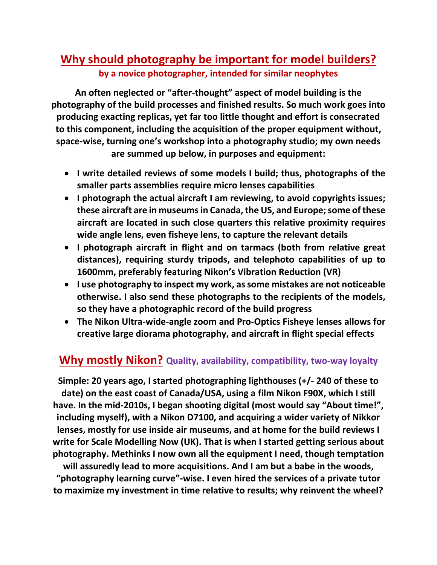# **Why should photography be important for model builders? by a novice photographer, intended for similar neophytes**

**An often neglected or "after-thought" aspect of model building is the photography of the build processes and finished results. So much work goes into producing exacting replicas, yet far too little thought and effort is consecrated to this component, including the acquisition of the proper equipment without, space-wise, turning one's workshop into a photography studio; my own needs are summed up below, in purposes and equipment:**

- **I write detailed reviews of some models I build; thus, photographs of the smaller parts assemblies require micro lenses capabilities**
- **I photograph the actual aircraft I am reviewing, to avoid copyrights issues; these aircraft are in museumsin Canada,the US, and Europe;some ofthese aircraft are located in such close quarters this relative proximity requires wide angle lens, even fisheye lens, to capture the relevant details**
- **I photograph aircraft in flight and on tarmacs (both from relative great distances), requiring sturdy tripods, and telephoto capabilities of up to 1600mm, preferably featuring Nikon's Vibration Reduction (VR)**
- **I use photography to inspect my work, assome mistakes are not noticeable otherwise. I also send these photographs to the recipients of the models, so they have a photographic record of the build progress**
- **The Nikon Ultra-wide-angle zoom and Pro-Optics Fisheye lenses allows for creative large diorama photography, and aircraft in flight special effects**

## **Why mostly Nikon? Quality, availability, compatibility, two-way loyalty**

**Simple: 20 years ago, I started photographing lighthouses (+/- 240 of these to date) on the east coast of Canada/USA, using a film Nikon F90X, which I still have. In the mid-2010s, I began shooting digital (most would say "About time!", including myself), with a Nikon D7100, and acquiring a wider variety of Nikkor lenses, mostly for use inside air museums, and at home for the build reviews I write for Scale Modelling Now (UK). That is when I started getting serious about photography. Methinks I now own all the equipment I need, though temptation** 

**will assuredly lead to more acquisitions. And I am but a babe in the woods, "photography learning curve"-wise. I even hired the services of a private tutor to maximize my investment in time relative to results; why reinvent the wheel?**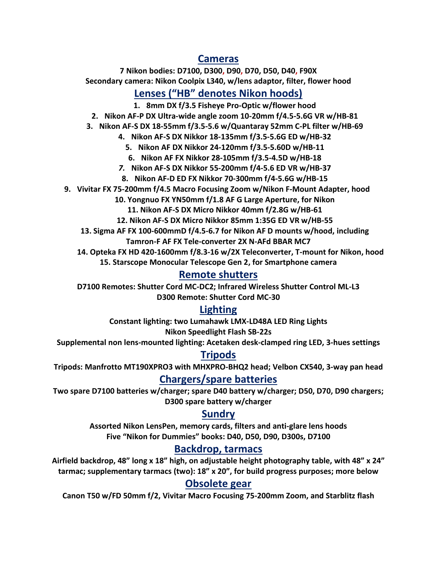#### **Cameras**

**7 Nikon bodies: D7100, D300, D90, D70, D50, D40, F90X Secondary camera: Nikon Coolpix L340, w/lens adaptor, filter, flower hood**

## **Lenses ("HB" denotes Nikon hoods)**

**1. 8mm DX f/3.5 Fisheye Pro-Optic w/flower hood**

**2. Nikon AF-P DX Ultra-wide angle zoom 10-20mm f/4.5-5.6G VR w/HB-81**

**3. Nikon AF-S DX 18-55mm f/3.5-5.6 w/Quantaray 52mm C-PL filter w/HB-69**

**4. Nikon AF-S DX Nikkor 18-135mm f/3.5-5.6G ED w/HB-32**

**5. Nikon AF DX Nikkor 24-120mm f/3.5-5.60D w/HB-11**

**6. Nikon AF FX Nikkor 28-105mm f/3.5-4.5D w/HB-18**

*7.* **Nikon AF-S DX Nikkor 55-200mm f/4-5.6 ED VR w/HB-37**

**8. Nikon AF-D ED FX Nikkor 70-300mm f/4-5.6G w/HB-15**

**9. Vivitar FX 75-200mm f/4.5 Macro Focusing Zoom w/Nikon F-Mount Adapter, hood**

**10. Yongnuo FX YN50mm f/1.8 AF G Large Aperture, for Nikon**

**11. Nikon AF-S DX Micro Nikkor 40mm f/2.8G w/HB-61**

**12. Nikon AF-S DX Micro Nikkor 85mm 1:35G ED VR w/HB-55**

**13. Sigma AF FX 100-600mmD f/4.5-6.7 for Nikon AF D mounts w/hood, including**

**Tamron-F AF FX Tele-converter 2X N-AFd BBAR MC7**

**14. Opteka FX HD 420-1600mm f/8.3-16 w/2X Teleconverter, T-mount for Nikon, hood**

**15. Starscope Monocular Telescope Gen 2, for Smartphone camera**

## **Remote shutters**

**D7100 Remotes: Shutter Cord MC-DC2; Infrared Wireless Shutter Control ML-L3 D300 Remote: Shutter Cord MC-30**

## **Lighting**

**Constant lighting: two Lumahawk LMX-LD48A LED Ring Lights Nikon Speedlight Flash SB-22s**

**Supplemental non lens-mounted lighting: Acetaken desk-clamped ring LED, 3-hues settings**

## **Tripods**

**Tripods: Manfrotto MT190XPRO3 with MHXPRO-BHQ2 head; Velbon CX540, 3-way pan head**

#### **Chargers/spare batteries**

**Two spare D7100 batteries w/charger; spare D40 battery w/charger; D50, D70, D90 chargers; D300 spare battery w/charger**

#### **Sundry**

**Assorted Nikon LensPen, memory cards, filters and anti-glare lens hoods Five "Nikon for Dummies" books: D40, D50, D90, D300s, D7100**

## **Backdrop, tarmacs**

**Airfield backdrop, 48" long x 18" high, on adjustable height photography table, with 48" x 24" tarmac; supplementary tarmacs (two): 18" x 20", for build progress purposes; more below**

#### **Obsolete gear**

**Canon T50 w/FD 50mm f/2, Vivitar Macro Focusing 75-200mm Zoom, and Starblitz flash**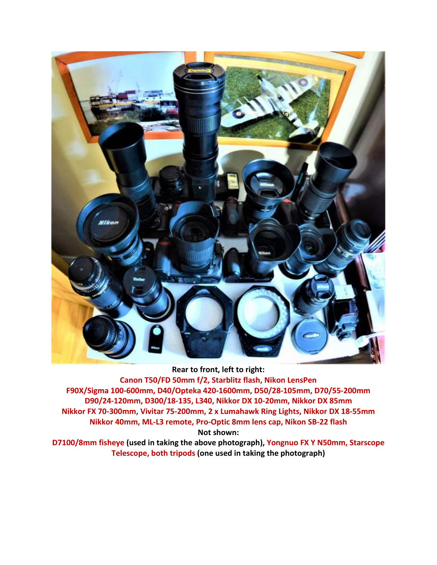

**Rear to front, left to right: Canon T50/FD 50mm f/2, Starblitz flash, Nikon LensPen F90X/Sigma 100-600mm, D40/Opteka 420-1600mm, D50/28-105mm, D70/55-200mm D90/24-120mm, D300/18-135, L340, Nikkor DX 10-20mm, Nikkor DX 85mm Nikkor FX 70-300mm, Vivitar 75-200mm, 2 x Lumahawk Ring Lights, Nikkor DX 18-55mm Nikkor 40mm, ML-L3 remote, Pro-Optic 8mm lens cap, Nikon SB-22 flash Not shown:**

**D7100/8mm fisheye (used in taking the above photograph), Yongnuo FX Y N50mm, Starscope Telescope, both tripods (one used in taking the photograph)**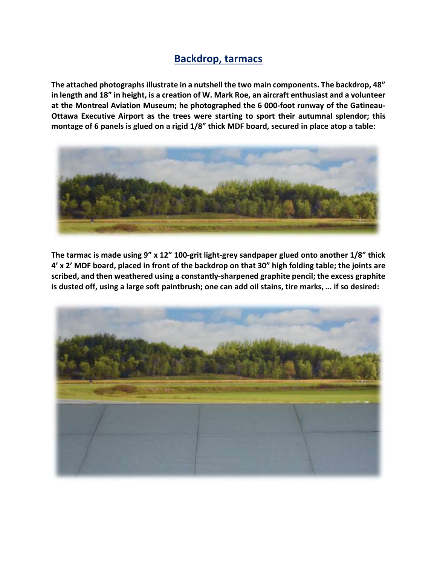#### **Backdrop, tarmacs**

**The attached photographsillustrate in a nutshell the two main components. The backdrop, 48"** in length and 18" in height, is a creation of W. Mark Roe, an aircraft enthusiast and a volunteer **at the Montreal Aviation Museum; he photographed the 6 000-foot runway of the Gatineau-Ottawa Executive Airport as the trees were starting to sport their autumnal splendor; this** montage of 6 panels is glued on a rigid 1/8" thick MDF board, secured in place atop a table:



**The tarmac is made using 9" x 12" 100-grit light-grey sandpaper glued onto another 1/8" thick** 4' x 2' MDF board, placed in front of the backdrop on that 30" high folding table; the joints are **scribed, and then weathered using a constantly-sharpened graphite pencil; the excess graphite** is dusted off, using a large soft paintbrush; one can add oil stains, tire marks, ... if so desired: